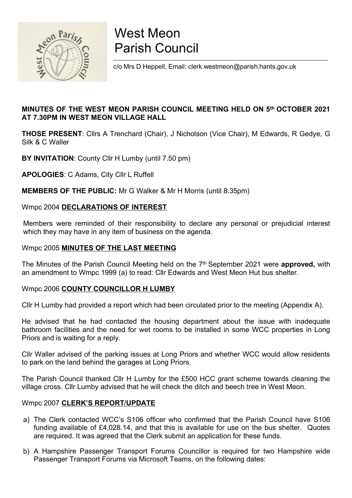

# West Meon Parish Council

c/o Mrs D Heppell, Email: clerk.westmeon@parish.hants.gov.uk

### MINUTES OF THE WEST MEON PARISH COUNCIL MEETING HELD ON 5th OCTOBER 2021 AT 7.30PM IN WEST MEON VILLAGE HALL

THOSE PRESENT: Cllrs A Trenchard (Chair), J Nicholson (Vice Chair), M Edwards, R Gedye, G Silk & C Waller

BY INVITATION: County Cllr H Lumby (until 7.50 pm)

APOLOGIES: C Adams, City Cllr L Ruffell

MEMBERS OF THE PUBLIC: Mr G Walker & Mr H Morris (until 8.35pm)

### Wmpc 2004 DECLARATIONS OF INTEREST

Members were reminded of their responsibility to declare any personal or prejudicial interest which they may have in any item of business on the agenda.

### Wmpc 2005 MINUTES OF THE LAST MEETING

The Minutes of the Parish Council Meeting held on the  $7<sup>th</sup>$  September 2021 were **approved**, with an amendment to Wmpc 1999 (a) to read: Cllr Edwards and West Meon Hut bus shelter.

### Wmpc 2006 COUNTY COUNCILLOR H LUMBY

Cllr H Lumby had provided a report which had been circulated prior to the meeting (Appendix A).

He advised that he had contacted the housing department about the issue with inadequate bathroom facilities and the need for wet rooms to be installed in some WCC properties in Long Priors and is waiting for a reply.

Cllr Waller advised of the parking issues at Long Priors and whether WCC would allow residents to park on the land behind the garages at Long Priors.

The Parish Council thanked Cllr H Lumby for the £500 HCC grant scheme towards cleaning the village cross. Cllr Lumby advised that he will check the ditch and beech tree in West Meon.

### Wmpc 2007 CLERK'S REPORT/UPDATE

- a) The Clerk contacted WCC's S106 officer who confirmed that the Parish Council have S106 funding available of £4,028.14, and that this is available for use on the bus shelter. Quotes are required. It was agreed that the Clerk submit an application for these funds.
- b) A Hampshire Passenger Transport Forums Councillor is required for two Hampshire wide Passenger Transport Forums via Microsoft Teams, on the following dates: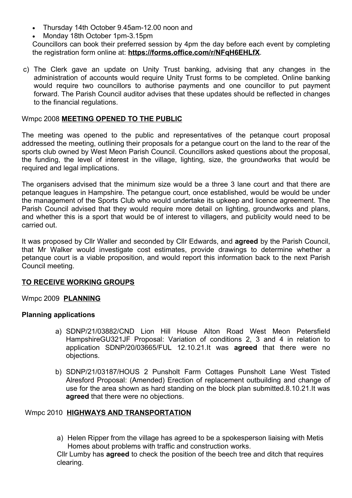- Thursday 14th October 9.45am-12.00 noon and
- Monday 18th October 1pm-3.15pm

Councillors can book their preferred session by 4pm the day before each event by completing the registration form online at: https://forms.office.com/r/NFqH6EHLfX.

c) The Clerk gave an update on Unity Trust banking, advising that any changes in the administration of accounts would require Unity Trust forms to be completed. Online banking would require two councillors to authorise payments and one councillor to put payment forward. The Parish Council auditor advises that these updates should be reflected in changes to the financial regulations.

### Wmpc 2008 MEETING OPENED TO THE PUBLIC

The meeting was opened to the public and representatives of the petanque court proposal addressed the meeting, outlining their proposals for a petangue court on the land to the rear of the sports club owned by West Meon Parish Council. Councillors asked questions about the proposal, the funding, the level of interest in the village, lighting, size, the groundworks that would be required and legal implications.

The organisers advised that the minimum size would be a three 3 lane court and that there are petanque leagues in Hampshire. The petangue court, once established, would be would be under the management of the Sports Club who would undertake its upkeep and licence agreement. The Parish Council advised that they would require more detail on lighting, groundworks and plans, and whether this is a sport that would be of interest to villagers, and publicity would need to be carried out.

It was proposed by Cllr Waller and seconded by Cllr Edwards, and **agreed** by the Parish Council, that Mr Walker would investigate cost estimates, provide drawings to determine whether a petanque court is a viable proposition, and would report this information back to the next Parish Council meeting.

### TO RECEIVE WORKING GROUPS

### Wmpc 2009 PLANNING

### Planning applications

- a) SDNP/21/03882/CND Lion Hill House Alton Road West Meon Petersfield HampshireGU321JF Proposal: Variation of conditions 2, 3 and 4 in relation to application SDNP/20/03665/FUL 12.10.21.It was agreed that there were no objections.
- b) SDNP/21/03187/HOUS 2 Punsholt Farm Cottages Punsholt Lane West Tisted Alresford Proposal: (Amended) Erection of replacement outbuilding and change of use for the area shown as hard standing on the block plan submitted.8.10.21.It was agreed that there were no objections.

### Wmpc 2010 HIGHWAYS AND TRANSPORTATION

a) Helen Ripper from the village has agreed to be a spokesperson liaising with Metis Homes about problems with traffic and construction works.

Cllr Lumby has agreed to check the position of the beech tree and ditch that requires clearing.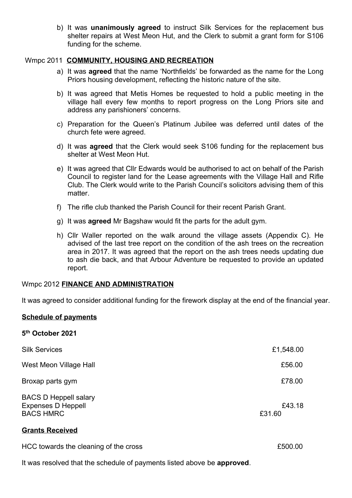b) It was **unanimously agreed** to instruct Silk Services for the replacement bus shelter repairs at West Meon Hut, and the Clerk to submit a grant form for S106 funding for the scheme.

### Wmpc 2011 COMMUNITY, HOUSING AND RECREATION

- a) It was agreed that the name 'Northfields' be forwarded as the name for the Long Priors housing development, reflecting the historic nature of the site.
- b) It was agreed that Metis Homes be requested to hold a public meeting in the village hall every few months to report progress on the Long Priors site and address any parishioners' concerns.
- c) Preparation for the Queen's Platinum Jubilee was deferred until dates of the church fete were agreed.
- d) It was agreed that the Clerk would seek S106 funding for the replacement bus shelter at West Meon Hut.
- e) It was agreed that Cllr Edwards would be authorised to act on behalf of the Parish Council to register land for the Lease agreements with the Village Hall and Rifle Club. The Clerk would write to the Parish Council's solicitors advising them of this matter.
- f) The rifle club thanked the Parish Council for their recent Parish Grant.
- g) It was agreed Mr Bagshaw would fit the parts for the adult gym.
- h) Cllr Waller reported on the walk around the village assets (Appendix C). He advised of the last tree report on the condition of the ash trees on the recreation area in 2017. It was agreed that the report on the ash trees needs updating due to ash die back, and that Arbour Adventure be requested to provide an updated report.

### Wmpc 2012 FINANCE AND ADMINISTRATION

It was agreed to consider additional funding for the firework display at the end of the financial year.

### Schedule of payments

5 th October 2021

| <b>Silk Services</b>                                                          | £1,548.00        |
|-------------------------------------------------------------------------------|------------------|
| West Meon Village Hall                                                        | £56.00           |
| Broxap parts gym                                                              | £78.00           |
| <b>BACS D Heppell salary</b><br><b>Expenses D Heppell</b><br><b>BACS HMRC</b> | £43.18<br>£31.60 |

### Grants Received

HCC towards the cleaning of the cross **E500.00** 

It was resolved that the schedule of payments listed above be approved.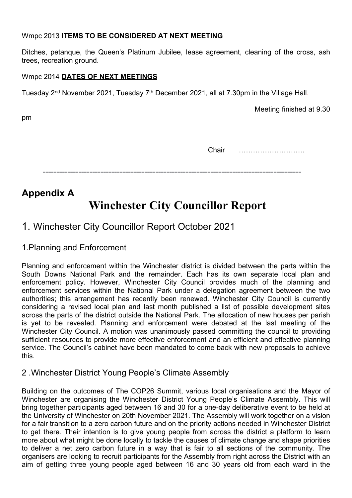### Wmpc 2013 ITEMS TO BE CONSIDERED AT NEXT MEETING

Ditches, petanque, the Queen's Platinum Jubilee, lease agreement, cleaning of the cross, ash trees, recreation ground.

### Wmpc 2014 DATES OF NEXT MEETINGS

Tuesday 2<sup>nd</sup> November 2021, Tuesday 7<sup>th</sup> December 2021, all at 7.30pm in the Village Hall.

Meeting finished at 9.30

pm

Chair ……………………….

----------------------------------------------------------------------------------------------

## Appendix A Winchester City Councillor Report

## 1. Winchester City Councillor Report October 2021

1.Planning and Enforcement

Planning and enforcement within the Winchester district is divided between the parts within the South Downs National Park and the remainder. Each has its own separate local plan and enforcement policy. However, Winchester City Council provides much of the planning and enforcement services within the National Park under a delegation agreement between the two authorities; this arrangement has recently been renewed. Winchester City Council is currently considering a revised local plan and last month published a list of possible development sites across the parts of the district outside the National Park. The allocation of new houses per parish is yet to be revealed. Planning and enforcement were debated at the last meeting of the Winchester City Council. A motion was unanimously passed committing the council to providing sufficient resources to provide more effective enforcement and an efficient and effective planning service. The Council's cabinet have been mandated to come back with new proposals to achieve this.

## 2 .Winchester District Young People's Climate Assembly

Building on the outcomes of The COP26 Summit, various local organisations and the Mayor of Winchester are organising the Winchester District Young People's Climate Assembly. This will bring together participants aged between 16 and 30 for a one-day deliberative event to be held at the University of Winchester on 20th November 2021. The Assembly will work together on a vision for a fair transition to a zero carbon future and on the priority actions needed in Winchester District to get there. Their intention is to give young people from across the district a platform to learn more about what might be done locally to tackle the causes of climate change and shape priorities to deliver a net zero carbon future in a way that is fair to all sections of the community. The organisers are looking to recruit participants for the Assembly from right across the District with an aim of getting three young people aged between 16 and 30 years old from each ward in the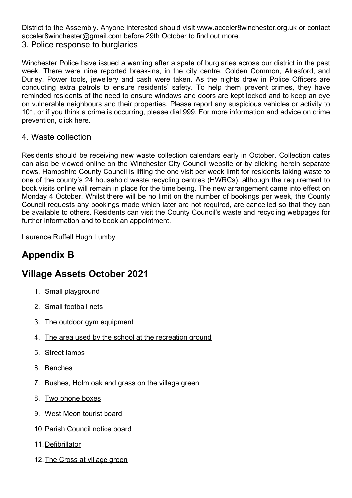District to the Assembly. Anyone interested should visit www.acceler8winchester.org.uk or contact acceler8winchester@gmail.com before 29th October to find out more.

3. Police response to burglaries

Winchester Police have issued a warning after a spate of burglaries across our district in the past week. There were nine reported break-ins, in the city centre, Colden Common, Alresford, and Durley. Power tools, jewellery and cash were taken. As the nights draw in Police Officers are conducting extra patrols to ensure residents' safety. To help them prevent crimes, they have reminded residents of the need to ensure windows and doors are kept locked and to keep an eye on vulnerable neighbours and their properties. Please report any suspicious vehicles or activity to 101, or if you think a crime is occurring, please dial 999. For more information and advice on crime prevention, click here.

### 4. Waste collection

Residents should be receiving new waste collection calendars early in October. Collection dates can also be viewed online on the Winchester City Council website or by clicking herein separate news, Hampshire County Council is lifting the one visit per week limit for residents taking waste to one of the county's 24 household waste recycling centres (HWRCs), although the requirement to book visits online will remain in place for the time being. The new arrangement came into effect on Monday 4 October. Whilst there will be no limit on the number of bookings per week, the County Council requests any bookings made which later are not required, are cancelled so that they can be available to others. Residents can visit the County Council's waste and recycling webpages for further information and to book an appointment.

Laurence Ruffell Hugh Lumby

## Appendix B

## Village Assets October 2021

- 1. Small playground
- 2. Small football nets
- 3. The outdoor gym equipment
- 4. The area used by the school at the recreation ground
- 5. Street lamps
- 6. Benches
- 7. Bushes, Holm oak and grass on the village green
- 8. Two phone boxes
- 9. West Meon tourist board
- 10.Parish Council notice board
- 11.Defibrillator
- 12. The Cross at village green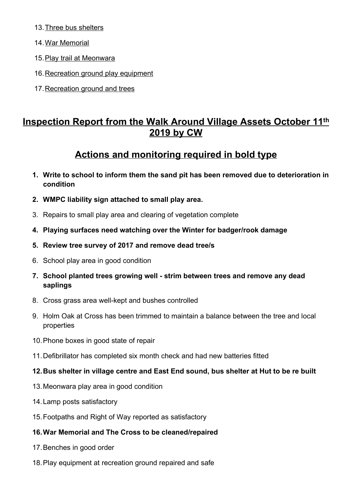- 13.Three bus shelters
- 14.War Memorial
- 15.Play trail at Meonwara
- 16. Recreation ground play equipment
- 17.Recreation ground and trees

## Inspection Report from the Walk Around Village Assets October 11th 2019 by CW

## Actions and monitoring required in bold type

- 1. Write to school to inform them the sand pit has been removed due to deterioration in condition
- 2. WMPC liability sign attached to small play area.
- 3. Repairs to small play area and clearing of vegetation complete
- 4. Playing surfaces need watching over the Winter for badger/rook damage
- 5. Review tree survey of 2017 and remove dead tree/s
- 6. School play area in good condition
- 7. School planted trees growing well strim between trees and remove any dead saplings
- 8. Cross grass area well-kept and bushes controlled
- 9. Holm Oak at Cross has been trimmed to maintain a balance between the tree and local properties
- 10.Phone boxes in good state of repair
- 11.Defibrillator has completed six month check and had new batteries fitted

### 12.Bus shelter in village centre and East End sound, bus shelter at Hut to be re built

- 13.Meonwara play area in good condition
- 14.Lamp posts satisfactory
- 15.Footpaths and Right of Way reported as satisfactory

### 16.War Memorial and The Cross to be cleaned/repaired

- 17.Benches in good order
- 18.Play equipment at recreation ground repaired and safe